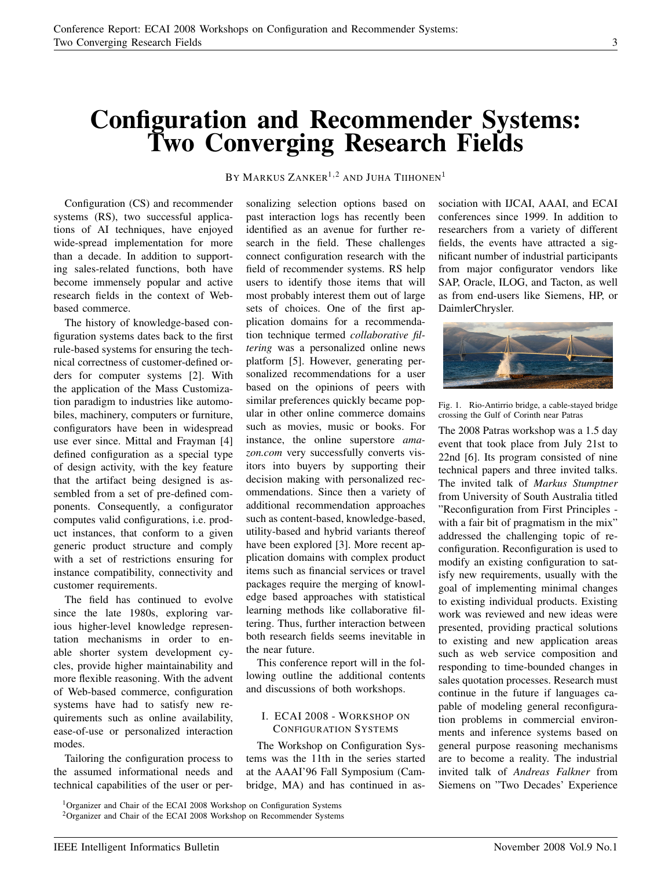## Configuration and Recommender Systems: Two Converging Research Fields

Configuration (CS) and recommender systems (RS), two successful applications of AI techniques, have enjoyed wide-spread implementation for more than a decade. In addition to supporting sales-related functions, both have become immensely popular and active research fields in the context of Webbased commerce.

The history of knowledge-based configuration systems dates back to the first rule-based systems for ensuring the technical correctness of customer-defined orders for computer systems [2]. With the application of the Mass Customization paradigm to industries like automobiles, machinery, computers or furniture, configurators have been in widespread use ever since. Mittal and Frayman [4] defined configuration as a special type of design activity, with the key feature that the artifact being designed is assembled from a set of pre-defined components. Consequently, a configurator computes valid configurations, i.e. product instances, that conform to a given generic product structure and comply with a set of restrictions ensuring for instance compatibility, connectivity and customer requirements.

The field has continued to evolve since the late 1980s, exploring various higher-level knowledge representation mechanisms in order to enable shorter system development cycles, provide higher maintainability and more flexible reasoning. With the advent of Web-based commerce, configuration systems have had to satisfy new requirements such as online availability, ease-of-use or personalized interaction modes.

Tailoring the configuration process to the assumed informational needs and technical capabilities of the user or per-

BY MARKUS ZANKER<sup>1,2</sup> AND JUHA TIIHONEN<sup>1</sup>

sonalizing selection options based on past interaction logs has recently been identified as an avenue for further research in the field. These challenges connect configuration research with the field of recommender systems. RS help users to identify those items that will most probably interest them out of large sets of choices. One of the first application domains for a recommendation technique termed *collaborative filtering* was a personalized online news platform [5]. However, generating personalized recommendations for a user based on the opinions of peers with similar preferences quickly became popular in other online commerce domains such as movies, music or books. For instance, the online superstore *amazon.com* very successfully converts visitors into buyers by supporting their decision making with personalized recommendations. Since then a variety of additional recommendation approaches such as content-based, knowledge-based, utility-based and hybrid variants thereof have been explored [3]. More recent application domains with complex product items such as financial services or travel packages require the merging of knowledge based approaches with statistical learning methods like collaborative filtering. Thus, further interaction between both research fields seems inevitable in the near future.

This conference report will in the following outline the additional contents and discussions of both workshops.

## I. ECAI 2008 - WORKSHOP ON CONFIGURATION SYSTEMS

The Workshop on Configuration Systems was the 11th in the series started at the AAAI'96 Fall Symposium (Cambridge, MA) and has continued in association with IJCAI, AAAI, and ECAI conferences since 1999. In addition to researchers from a variety of different fields, the events have attracted a significant number of industrial participants from major configurator vendors like SAP, Oracle, ILOG, and Tacton, as well as from end-users like Siemens, HP, or DaimlerChrysler.



Fig. 1. Rio-Antirrio bridge, a cable-stayed bridge crossing the Gulf of Corinth near Patras

The 2008 Patras workshop was a 1.5 day event that took place from July 21st to 22nd [6]. Its program consisted of nine technical papers and three invited talks. The invited talk of *Markus Stumptner* from University of South Australia titled "Reconfiguration from First Principles with a fair bit of pragmatism in the mix" addressed the challenging topic of reconfiguration. Reconfiguration is used to modify an existing configuration to satisfy new requirements, usually with the goal of implementing minimal changes to existing individual products. Existing work was reviewed and new ideas were presented, providing practical solutions to existing and new application areas such as web service composition and responding to time-bounded changes in sales quotation processes. Research must continue in the future if languages capable of modeling general reconfiguration problems in commercial environments and inference systems based on general purpose reasoning mechanisms are to become a reality. The industrial invited talk of *Andreas Falkner* from Siemens on "Two Decades' Experience

<sup>1</sup>Organizer and Chair of the ECAI 2008 Workshop on Configuration Systems <sup>2</sup>Organizer and Chair of the ECAI 2008 Workshop on Recommender Systems